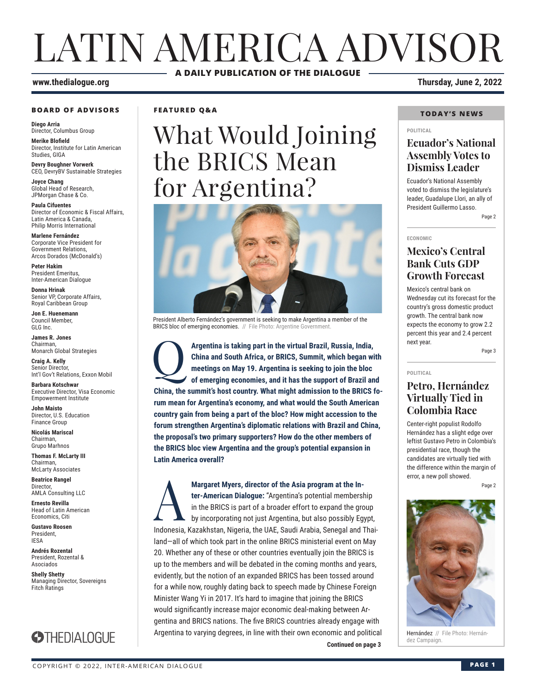## LATIN AMERICA ADVISOR **A DAILY PUBLICATION OF THE DIALOGUE**

#### **www.thedialogue.org Thursday, June 2, 2022**

#### **BOARD OF ADVISORS**

**Diego Arria** Director, Columbus Group

**Merike Blofield** Director, Institute for Latin American Studies, GIGA

**Devry Boughner Vorwerk** CEO, DevryBV Sustainable Strategies

**Joyce Chang** Global Head of Research, JPMorgan Chase & Co.

**Paula Cifuentes** Director of Economic & Fiscal Affairs, Latin America & Canada, Philip Morris International

**Marlene Fernández** Corporate Vice President for Government Relations, Arcos Dorados (McDonald's)

**Peter Hakim** President Emeritus, Inter-American Dialogue

**Donna Hrinak** Senior VP, Corporate Affairs, Royal Caribbean Group

**Jon E. Huenemann** Council Member, GLG Inc.

**James R. Jones** Chairman, Monarch Global Strategies

**Craig A. Kelly** Senior Director, Int'l Gov't Relations, Exxon Mobil

**Barbara Kotschwar** Executive Director, Visa Economic Empowerment Institute

**John Maisto** Director, U.S. Education Finance Group

**Nicolás Mariscal** Chairman, Grupo Marhnos

**Thomas F. McLarty III** Chairman, McLarty Associates

**Beatrice Rangel**  Director, AMLA Consulting LLC

**Ernesto Revilla**  Head of Latin American

Economics, Citi **Gustavo Roosen** President, IESA

**Andrés Rozental**  President, Rozental & Asociados

**Shelly Shetty** Managing Director, Sovereigns Fitch Ratings



**FEATURED Q&A**

# What Would Joining the BRICS Mean for Argentina?



President Alberto Fernández's government is seeking to make Argentina a member of the BRICS bloc of emerging economies. // File Photo: Argentine Government

Argentina is taking part in the virtual Brazil, Russia, India, China and South Africa, or BRICS, Summit, which began will meetings on May 19. Argentina is seeking to join the bloc of emerging economies, and it has the supp **China and South Africa, or BRICS, Summit, which began with meetings on May 19. Argentina is seeking to join the bloc of emerging economies, and it has the support of Brazil and China, the summit's host country. What might admission to the BRICS forum mean for Argentina's economy, and what would the South American country gain from being a part of the bloc? How might accession to the forum strengthen Argentina's diplomatic relations with Brazil and China, the proposal's two primary supporters? How do the other members of the BRICS bloc view Argentina and the group's potential expansion in Latin America overall?**

dez Campaign. **Continued on page 3 Margaret Myers, director of the Asia program at the In-<br>ter-American Dialogue: "Argentina's potential membersl<br>in the BRICS is part of a broader effort to expand the gro<br>by incorporating not just Argentina, but also possi ter-American Dialogue:** "Argentina's potential membership in the BRICS is part of a broader effort to expand the group by incorporating not just Argentina, but also possibly Egypt, Indonesia, Kazakhstan, Nigeria, the UAE, Saudi Arabia, Senegal and Thailand—all of which took part in the online BRICS ministerial event on May 20. Whether any of these or other countries eventually join the BRICS is up to the members and will be debated in the coming months and years, evidently, but the notion of an expanded BRICS has been tossed around for a while now, roughly dating back to speech made by Chinese Foreign Minister Wang Yi in 2017. It's hard to imagine that joining the BRICS would significantly increase major economic deal-making between Argentina and BRICS nations. The five BRICS countries already engage with Argentina to varying degrees, in line with their own economic and political

#### **TODAY'S NEWS**

#### **POLITICAL**

## **Ecuador's National Assembly Votes to Dismiss Leader**

Ecuador's National Assembly voted to dismiss the legislature's leader, Guadalupe Llori, an ally of President Guillermo Lasso.

Page 2

#### **ECONOMIC**

**POLITICAL**

## **Mexico's Central Bank Cuts GDP Growth Forecast**

Mexico's central bank on Wednesday cut its forecast for the country's gross domestic product growth. The central bank now expects the economy to grow 2.2 percent this year and 2.4 percent next year.

Page 3

## **Petro, Hernández Virtually Tied in Colombia Race**

Center-right populist Rodolfo Hernández has a slight edge over leftist Gustavo Petro in Colombia's presidential race, though the candidates are virtually tied with the difference within the margin of error, a new poll showed.

Page 2



Hernández // File Photo: Hernán-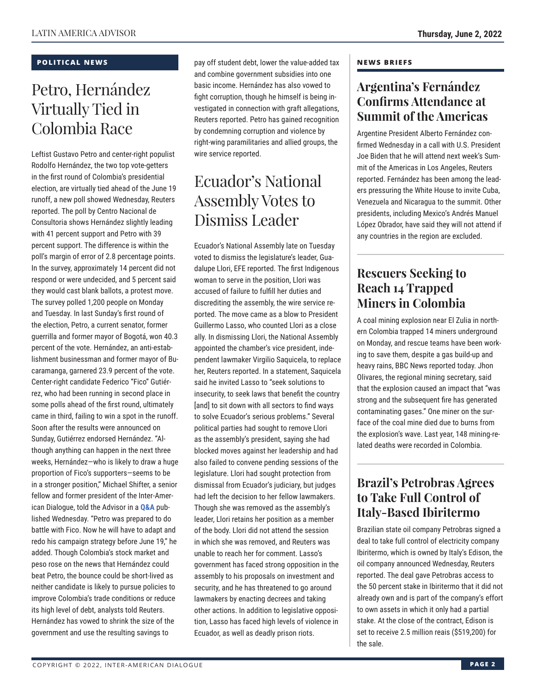## **POLITICAL NEWS**

## Petro, Hernández Virtually Tied in Colombia Race

Leftist Gustavo Petro and center-right populist Rodolfo Hernández, the two top vote-getters in the first round of Colombia's presidential election, are virtually tied ahead of the June 19 runoff, a new poll showed Wednesday, Reuters reported. The poll by Centro Nacional de Consultoria shows Hernández slightly leading with 41 percent support and Petro with 39 percent support. The difference is within the poll's margin of error of 2.8 percentage points. In the survey, approximately 14 percent did not respond or were undecided, and 5 percent said they would cast blank ballots, a protest move. The survey polled 1,200 people on Monday and Tuesday. In last Sunday's first round of the election, Petro, a current senator, former guerrilla and former mayor of Bogotá, won 40.3 percent of the vote. Hernández, an anti-establishment businessman and former mayor of Bucaramanga, garnered 23.9 percent of the vote. Center-right candidate Federico "Fico" Gutiérrez, who had been running in second place in some polls ahead of the first round, ultimately came in third, failing to win a spot in the runoff. Soon after the results were announced on Sunday, Gutiérrez endorsed Hernández. "Although anything can happen in the next three weeks, Hernández—who is likely to draw a huge proportion of Fico's supporters—seems to be in a stronger position," Michael Shifter, a senior fellow and former president of the Inter-American Dialogue, told the Advisor in a **[Q&A](https://www.thedialogue.org/wp-content/uploads/2022/06/LAA220601.pdf)** published Wednesday. "Petro was prepared to do battle with Fico. Now he will have to adapt and redo his campaign strategy before June 19," he added. Though Colombia's stock market and peso rose on the news that Hernández could beat Petro, the bounce could be short-lived as neither candidate is likely to pursue policies to improve Colombia's trade conditions or reduce its high level of debt, analysts told Reuters. Hernández has vowed to shrink the size of the government and use the resulting savings to

pay off student debt, lower the value-added tax and combine government subsidies into one basic income. Hernández has also vowed to fight corruption, though he himself is being investigated in connection with graft allegations, Reuters reported. Petro has gained recognition by condemning corruption and violence by right-wing paramilitaries and allied groups, the wire service reported.

## Ecuador's National Assembly Votes to Dismiss Leader

Ecuador's National Assembly late on Tuesday voted to dismiss the legislature's leader, Guadalupe Llori, EFE reported. The first Indigenous woman to serve in the position, Llori was accused of failure to fulfill her duties and discrediting the assembly, the wire service reported. The move came as a blow to President Guillermo Lasso, who counted Llori as a close ally. In dismissing Llori, the National Assembly appointed the chamber's vice president, independent lawmaker Virgilio Saquicela, to replace her, Reuters reported. In a statement, Saquicela said he invited Lasso to "seek solutions to insecurity, to seek laws that benefit the country [and] to sit down with all sectors to find ways to solve Ecuador's serious problems." Several political parties had sought to remove Llori as the assembly's president, saying she had blocked moves against her leadership and had also failed to convene pending sessions of the legislature. Llori had sought protection from dismissal from Ecuador's judiciary, but judges had left the decision to her fellow lawmakers. Though she was removed as the assembly's leader, Llori retains her position as a member of the body. Llori did not attend the session in which she was removed, and Reuters was unable to reach her for comment. Lasso's government has faced strong opposition in the assembly to his proposals on investment and security, and he has threatened to go around lawmakers by enacting decrees and taking other actions. In addition to legislative opposition, Lasso has faced high levels of violence in Ecuador, as well as deadly prison riots.

## **NEWS BRIEFS**

## **Argentina's Fernández Confirms Attendance at Summit of the Americas**

Argentine President Alberto Fernández confirmed Wednesday in a call with U.S. President Joe Biden that he will attend next week's Summit of the Americas in Los Angeles, Reuters reported. Fernández has been among the leaders pressuring the White House to invite Cuba, Venezuela and Nicaragua to the summit. Other presidents, including Mexico's Andrés Manuel López Obrador, have said they will not attend if any countries in the region are excluded.

## **Rescuers Seeking to Reach 14 Trapped Miners in Colombia**

A coal mining explosion near El Zulia in northern Colombia trapped 14 miners underground on Monday, and rescue teams have been working to save them, despite a gas build-up and heavy rains, BBC News reported today. Jhon Olivares, the regional mining secretary, said that the explosion caused an impact that "was strong and the subsequent fire has generated contaminating gases." One miner on the surface of the coal mine died due to burns from the explosion's wave. Last year, 148 mining-related deaths were recorded in Colombia.

## **Brazil's Petrobras Agrees to Take Full Control of Italy-Based Ibiritermo**

Brazilian state oil company Petrobras signed a deal to take full control of electricity company Ibiritermo, which is owned by Italy's Edison, the oil company announced Wednesday, Reuters reported. The deal gave Petrobras access to the 50 percent stake in Ibiritermo that it did not already own and is part of the company's effort to own assets in which it only had a partial stake. At the close of the contract, Edison is set to receive 2.5 million reais (\$519,200) for the sale.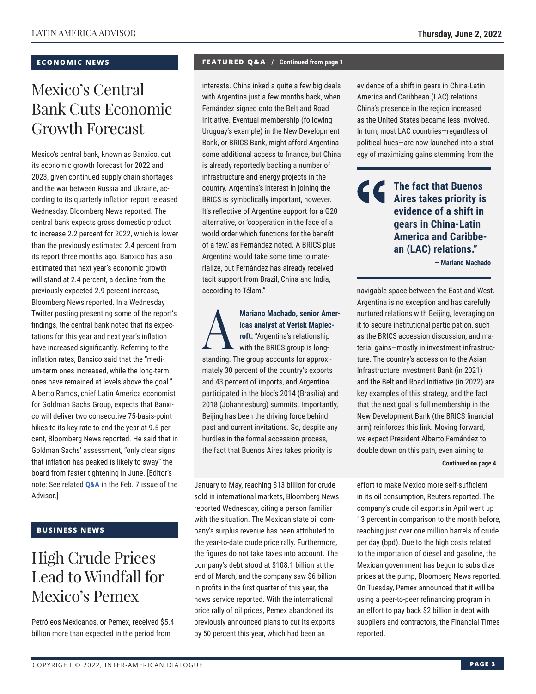## **ECONOMIC NEWS**

## Mexico's Central Bank Cuts Economic Growth Forecast

Mexico's central bank, known as Banxico, cut its economic growth forecast for 2022 and 2023, given continued supply chain shortages and the war between Russia and Ukraine, according to its quarterly inflation report released Wednesday, Bloomberg News reported. The central bank expects gross domestic product to increase 2.2 percent for 2022, which is lower than the previously estimated 2.4 percent from its report three months ago. Banxico has also estimated that next year's economic growth will stand at 2.4 percent, a decline from the previously expected 2.9 percent increase, Bloomberg News reported. In a Wednesday Twitter posting presenting some of the report's findings, the central bank noted that its expectations for this year and next year's inflation have increased significantly. Referring to the inflation rates, Banxico said that the "medium-term ones increased, while the long-term ones have remained at levels above the goal." Alberto Ramos, chief Latin America economist for Goldman Sachs Group, expects that Banxico will deliver two consecutive 75-basis-point hikes to its key rate to end the year at 9.5 percent, Bloomberg News reported. He said that in Goldman Sachs' assessment, "only clear signs that inflation has peaked is likely to sway" the board from faster tightening in June. [Editor's note: See related **[Q&A](https://www.thedialogue.org/wp-content/uploads/2022/02/LAA220207.pdf)** in the Feb. 7 issue of the Advisor.]

## **BUSINESS NEWS**

## High Crude Prices Lead to Windfall for Mexico's Pemex

Petróleos Mexicanos, or Pemex, received \$5.4 billion more than expected in the period from

### **FEATURED Q&A / Continued from page 1**

interests. China inked a quite a few big deals with Argentina just a few months back, when Fernández signed onto the Belt and Road Initiative. Eventual membership (following Uruguay's example) in the New Development Bank, or BRICS Bank, might afford Argentina some additional access to finance, but China is already reportedly backing a number of infrastructure and energy projects in the country. Argentina's interest in joining the BRICS is symbolically important, however. It's reflective of Argentine support for a G20 alternative, or 'cooperation in the face of a world order which functions for the benefit of a few,' as Fernández noted. A BRICS plus Argentina would take some time to materialize, but Fernández has already received tacit support from Brazil, China and India, according to Télam."

Mariano Machado, senior Amer-<br>
icas analyst at Verisk Maplec-<br>
roft: "Argentina's relationship<br>
with the BRICS group is long-<br>
standing The group accounts for approxi**icas analyst at Verisk Maplecroft:** "Argentina's relationship with the BRICS group is longstanding. The group accounts for approximately 30 percent of the country's exports and 43 percent of imports, and Argentina participated in the bloc's 2014 (Brasília) and 2018 (Johannesburg) summits. Importantly, Beijing has been the driving force behind past and current invitations. So, despite any hurdles in the formal accession process, the fact that Buenos Aires takes priority is

January to May, reaching \$13 billion for crude sold in international markets, Bloomberg News reported Wednesday, citing a person familiar with the situation. The Mexican state oil company's surplus revenue has been attributed to the year-to-date crude price rally. Furthermore, the figures do not take taxes into account. The company's debt stood at \$108.1 billion at the end of March, and the company saw \$6 billion in profits in the first quarter of this year, the news service reported. With the international price rally of oil prices, Pemex abandoned its previously announced plans to cut its exports by 50 percent this year, which had been an

evidence of a shift in gears in China-Latin America and Caribbean (LAC) relations. China's presence in the region increased as the United States became less involved. In turn, most LAC countries—regardless of political hues—are now launched into a strategy of maximizing gains stemming from the

## **The fact that Buenos Aires takes priority is evidence of a shift in gears in China-Latin America and Caribbean (LAC) relations."**

**— Mariano Machado**

navigable space between the East and West. Argentina is no exception and has carefully nurtured relations with Beijing, leveraging on it to secure institutional participation, such as the BRICS accession discussion, and material gains—mostly in investment infrastructure. The country's accession to the Asian Infrastructure Investment Bank (in 2021) and the Belt and Road Initiative (in 2022) are key examples of this strategy, and the fact that the next goal is full membership in the New Development Bank (the BRICS financial arm) reinforces this link. Moving forward, we expect President Alberto Fernández to double down on this path, even aiming to

#### **Continued on page 4**

effort to make Mexico more self-sufficient in its oil consumption, Reuters reported. The company's crude oil exports in April went up 13 percent in comparison to the month before, reaching just over one million barrels of crude per day (bpd). Due to the high costs related to the importation of diesel and gasoline, the Mexican government has begun to subsidize prices at the pump, Bloomberg News reported. On Tuesday, Pemex announced that it will be using a peer-to-peer refinancing program in an effort to pay back \$2 billion in debt with suppliers and contractors, the Financial Times reported.